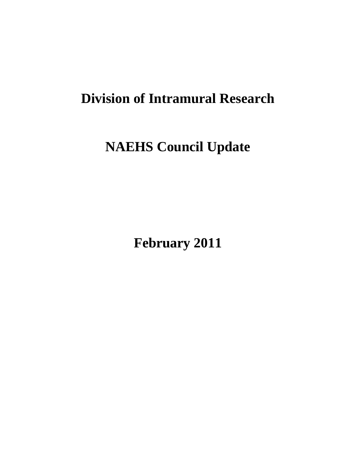# **Division of Intramural Research**

# **NAEHS Council Update**

**February 2011**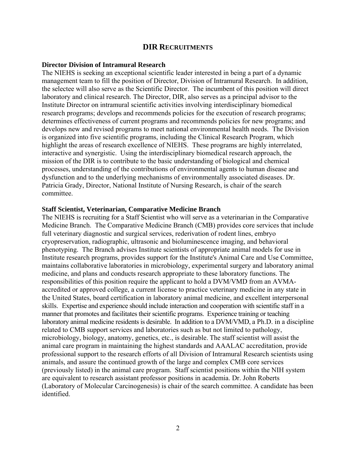# **DIR RECRUITMENTS**

#### **Director Division of Intramural Research**

The NIEHS is seeking an exceptional scientific leader interested in being a part of a dynamic management team to fill the position of Director, Division of Intramural Research. In addition, the selectee will also serve as the Scientific Director. The incumbent of this position will direct laboratory and clinical research. The Director, DIR, also serves as a principal advisor to the Institute Director on intramural scientific activities involving interdisciplinary biomedical research programs; develops and recommends policies for the execution of research programs; determines effectiveness of current programs and recommends policies for new programs; and develops new and revised programs to meet national environmental health needs. The Division is organized into five scientific programs, including the Clinical Research Program, which highlight the areas of research excellence of NIEHS. These programs are highly interrelated, interactive and synergistic. Using the interdisciplinary biomedical research approach, the mission of the DIR is to contribute to the basic understanding of biological and chemical processes, understanding of the contributions of environmental agents to human disease and dysfunction and to the underlying mechanisms of environmentally associated diseases. Dr. Patricia Grady, Director, National Institute of Nursing Research, is chair of the search committee.

## **Staff Scientist, Veterinarian, Comparative Medicine Branch**

 skills. Expertise and experience should include interaction and cooperation with scientific staff in a The NIEHS is recruiting for a Staff Scientist who will serve as a veterinarian in the Comparative Medicine Branch. The Comparative Medicine Branch (CMB) provides core services that include full veterinary diagnostic and surgical services, rederivation of rodent lines, embryo cryopreservation, radiographic, ultrasonic and bioluminescence imaging, and behavioral phenotyping. The Branch advises Institute scientists of appropriate animal models for use in Institute research programs, provides support for the Institute's Animal Care and Use Committee, maintains collaborative laboratories in microbiology, experimental surgery and laboratory animal medicine, and plans and conducts research appropriate to these laboratory functions. The responsibilities of this position require the applicant to hold a DVM/VMD from an AVMAaccredited or approved college, a current license to practice veterinary medicine in any state in the United States, board certification in laboratory animal medicine, and excellent interpersonal manner that promotes and facilitates their scientific programs. Experience training or teaching laboratory animal medicine residents is desirable. In addition to a DVM/VMD, a Ph.D. in a discipline related to CMB support services and laboratories such as but not limited to pathology, microbiology, biology, anatomy, genetics, etc., is desirable. The staff scientist will assist the animal care program in maintaining the highest standards and AAALAC accreditation, provide professional support to the research efforts of all Division of Intramural Research scientists using animals, and assure the continued growth of the large and complex CMB core services (previously listed) in the animal care program. Staff scientist positions within the NIH system are equivalent to research assistant professor positions in academia. Dr. John Roberts (Laboratory of Molecular Carcinogenesis) is chair of the search committee. A candidate has been identified.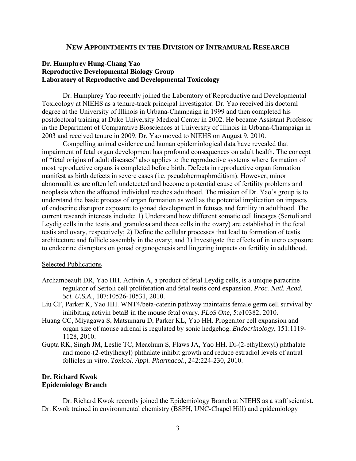## **NEW APPOINTMENTS IN THE DIVISION OF INTRAMURAL RESEARCH**

# **Dr. Humphrey Hung-Chang Yao Reproductive Developmental Biology Group Laboratory of Reproductive and Developmental Toxicology**

Dr. Humphrey Yao recently joined the Laboratory of Reproductive and Developmental Toxicology at NIEHS as a tenure-track principal investigator. Dr. Yao received his doctoral degree at the University of Illinois in Urbana-Champaign in 1999 and then completed his postdoctoral training at Duke University Medical Center in 2002. He became Assistant Professor in the Department of Comparative Biosciences at University of Illinois in Urbana-Champaign in 2003 and received tenure in 2009. Dr. Yao moved to NIEHS on August 9, 2010.

Compelling animal evidence and human epidemiological data have revealed that impairment of fetal organ development has profound consequences on adult health. The concept of "fetal origins of adult diseases" also applies to the reproductive systems where formation of most reproductive organs is completed before birth. Defects in reproductive organ formation manifest as birth defects in severe cases (i.e. pseudohermaphroditism). However, minor abnormalities are often left undetected and become a potential cause of fertility problems and neoplasia when the affected individual reaches adulthood. The mission of Dr. Yao's group is to understand the basic process of organ formation as well as the potential implication on impacts of endocrine disruptor exposure to gonad development in fetuses and fertility in adulthood. The current research interests include: 1) Understand how different somatic cell lineages (Sertoli and Leydig cells in the testis and granulosa and theca cells in the ovary) are established in the fetal testis and ovary, respectively; 2) Define the cellular processes that lead to formation of testis architecture and follicle assembly in the ovary; and 3) Investigate the effects of in utero exposure to endocrine disruptors on gonad organogenesis and lingering impacts on fertility in adulthood.

#### Selected Publications

- Archambeault DR, Yao HH. Activin A, a product of fetal Leydig cells, is a unique paracrine regulator of Sertoli cell proliferation and fetal testis cord expansion. *Proc. Natl. Acad. Sci. U.S.A*., 107:10526-10531, 2010.
- Liu CF, Parker K, Yao HH. WNT4/beta-catenin pathway maintains female germ cell survival by inhibiting activin betaB in the mouse fetal ovary. *PLoS One,* 5:e10382, 2010.
- Huang CC, Miyagawa S, Matsumaru D, Parker KL, Yao HH. Progenitor cell expansion and organ size of mouse adrenal is regulated by sonic hedgehog. *Endocrinology*, 151:1119 1128, 2010.
- Gupta RK, Singh JM, Leslie TC, Meachum S, Flaws JA, Yao HH. Di-(2-ethylhexyl) phthalate and mono-(2-ethylhexyl) phthalate inhibit growth and reduce estradiol levels of antral follicles in vitro. *Toxicol. Appl. Pharmacol*., 242:224-230, 2010.

# **Dr. Richard Kwok Epidemiology Branch**

Dr. Richard Kwok recently joined the Epidemiology Branch at NIEHS as a staff scientist. Dr. Kwok trained in environmental chemistry (BSPH, UNC-Chapel Hill) and epidemiology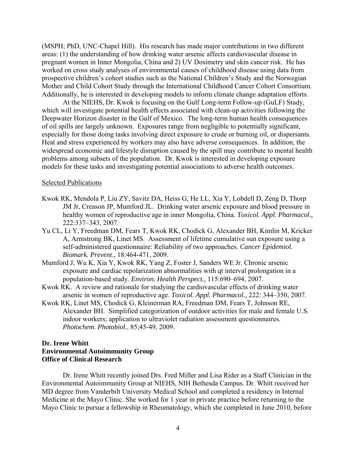Mother and Child Cohort Study through the International Childhood Cancer Cohort Consortium. (MSPH; PhD, UNC-Chapel Hill). His research has made major contributions in two different areas: (1) the understanding of how drinking water arsenic affects cardiovascular disease in pregnant women in Inner Mongolia, China and 2) UV Dosimetry and skin cancer risk. He has worked on cross study analyses of environmental causes of childhood disease using data from prospective children's cohort studies such as the National Children's Study and the Norwegian Additionally, he is interested in developing models to inform climate change adaptation efforts.

At the NIEHS, Dr. Kwok is focusing on the Gulf Long-term Follow-up (GuLF) Study, which will investigate potential health effects associated with clean-up activities following the Deepwater Horizon disaster in the Gulf of Mexico. The long-term human health consequences of oil spills are largely unknown. Exposures range from negligible to potentially significant, especially for those doing tasks involving direct exposure to crude or burning oil, or dispersants. Heat and stress experienced by workers may also have adverse consequences. In addition, the widespread economic and lifestyle disruption caused by the spill may contribute to mental health problems among subsets of the population. Dr. Kwok is interested in developing exposure models for these tasks and investigating potential associations to adverse health outcomes.

### Selected Publications

- 222:337-343, 2007. Kwok RK, Mendola P, Liu ZY, Savitz DA, Heiss G, He LL, Xia Y, Lobdell D, Zeng D, Thorp JM Jr, Creason JP, Mumford JL. Drinking water arsenic exposure and blood pressure in healthy women of reproductive age in inner Mongolia, China. *Toxicol. Appl. Pharmacol.,*
- Yu CL, Li Y, Freedman DM, Fears T, Kwok RK, Chodick G, Alexander BH, Kimlin M, Kricker A, Armstrong BK, Linet MS. Assessment of lifetime cumulative sun exposure using a self-administered questionnaire: Reliability of two approaches. *Cancer Epidemiol. Biomark. Prevent*., 18:464-471, 2009.
- Mumford J, Wu K, Xia Y, Kwok RK, Yang Z, Foster J, Sanders WE Jr. Chronic arsenic exposure and cardiac repolarization abnormalities with qt interval prolongation in a population-based study. *Environ. Health Perspect.,* 115:690–694, 2007.
- Kwok RK. A review and rationale for studying the cardiovascular effects of drinking water arsenic in women of reproductive age. *Toxicol. Appl. Pharmacol.,* 222: 344–350, 2007.
- Kwok RK, Linet MS, Chodick G, Kleinerman RA, Freedman DM, Fears T, Johnson RE, Alexander BH. Simplified categorization of outdoor activities for male and female U.S. indoor workers; application to ultraviolet radiation assessment questionnaires. *Photochem. Photobiol.*, 85;45-49, 2009.

# **Dr. Irene Whitt Environmental Autoimmunity Group Office of Clinical Research**

Dr. Irene Whitt recently joined Drs. Fred Miller and Lisa Rider as a Staff Clinician in the Environmental Autoimmunity Group at NIEHS, NIH Bethesda Campus. Dr. Whitt received her MD degree from Vanderbilt University Medical School and completed a residency in Internal Medicine at the Mayo Clinic. She worked for 1 year in private practice before returning to the Mayo Clinic to pursue a fellowship in Rheumatology, which she completed in June 2010, before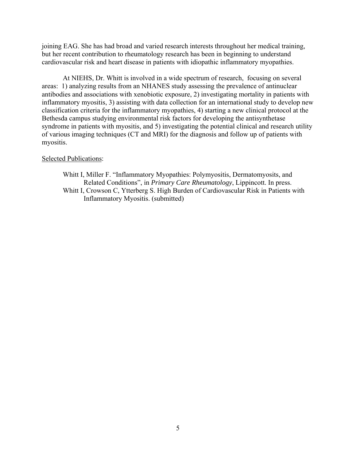joining EAG. She has had broad and varied research interests throughout her medical training, but her recent contribution to rheumatology research has been in beginning to understand cardiovascular risk and heart disease in patients with idiopathic inflammatory myopathies.

At NIEHS, Dr. Whitt is involved in a wide spectrum of research, focusing on several areas: 1) analyzing results from an NHANES study assessing the prevalence of antinuclear antibodies and associations with xenobiotic exposure, 2) investigating mortality in patients with inflammatory myositis, 3) assisting with data collection for an international study to develop new classification criteria for the inflammatory myopathies, 4) starting a new clinical protocol at the Bethesda campus studying environmental risk factors for developing the antisynthetase syndrome in patients with myositis, and 5) investigating the potential clinical and research utility of various imaging techniques (CT and MRI) for the diagnosis and follow up of patients with myositis.

# Selected Publications:

Whitt I, Miller F. "Inflammatory Myopathies: Polymyositis, Dermatomyosits, and Related Conditions", in *Primary Care Rheumatology*, Lippincott. In press. Whitt I, Crowson C, Ytterberg S. High Burden of Cardiovascular Risk in Patients with Inflammatory Myositis. (submitted)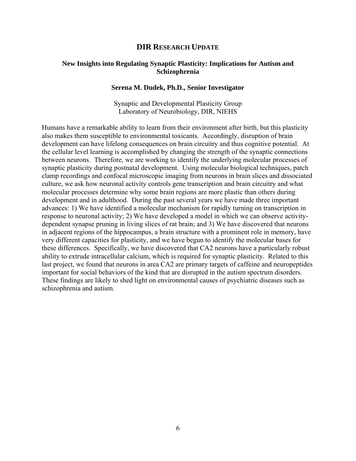# **DIR RESEARCH UPDATE**

# **New Insights into Regulating Synaptic Plasticity: Implications for Autism and Schizophrenia**

## **Serena M. Dudek, Ph.D., Senior Investigator**

Synaptic and Developmental Plasticity Group Laboratory of Neurobiology, DIR, NIEHS

Humans have a remarkable ability to learn from their environment after birth, but this plasticity also makes them susceptible to environmental toxicants. Accordingly, disruption of brain development can have lifelong consequences on brain circuitry and thus cognitive potential. At the cellular level learning is accomplished by changing the strength of the synaptic connections between neurons. Therefore, we are working to identify the underlying molecular processes of synaptic plasticity during postnatal development. Using molecular biological techniques, patch clamp recordings and confocal microscopic imaging from neurons in brain slices and dissociated culture, we ask how neuronal activity controls gene transcription and brain circuitry and what molecular processes determine why some brain regions are more plastic than others during development and in adulthood. During the past several years we have made three important advances: 1) We have identified a molecular mechanism for rapidly turning on transcription in response to neuronal activity; 2) We have developed a model in which we can observe activitydependent synapse pruning in living slices of rat brain; and 3) We have discovered that neurons in adjacent regions of the hippocampus, a brain structure with a prominent role in memory, have very different capacities for plasticity, and we have begun to identify the molecular bases for these differences. Specifically, we have discovered that CA2 neurons have a particularly robust ability to extrude intracellular calcium, which is required for synaptic plasticity. Related to this last project, we found that neurons in area CA2 are primary targets of caffeine and neuropeptides important for social behaviors of the kind that are disrupted in the autism spectrum disorders. These findings are likely to shed light on environmental causes of psychiatric diseases such as schizophrenia and autism.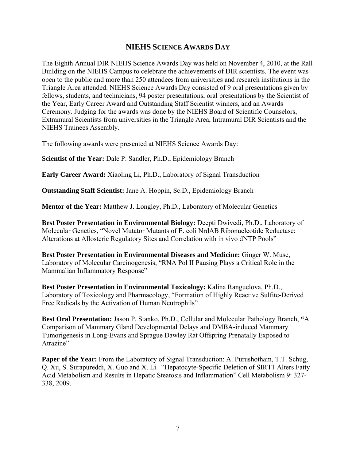# **NIEHS SCIENCE AWARDS DAY**

The Eighth Annual DIR NIEHS Science Awards Day was held on November 4, 2010, at the Rall Building on the NIEHS Campus to celebrate the achievements of DIR scientists. The event was open to the public and more than 250 attendees from universities and research institutions in the Triangle Area attended. NIEHS Science Awards Day consisted of 9 oral presentations given by fellows, students, and technicians, 94 poster presentations, oral presentations by the Scientist of the Year, Early Career Award and Outstanding Staff Scientist winners, and an Awards Ceremony. Judging for the awards was done by the NIEHS Board of Scientific Counselors, Extramural Scientists from universities in the Triangle Area, Intramural DIR Scientists and the NIEHS Trainees Assembly.

The following awards were presented at NIEHS Science Awards Day:

**Scientist of the Year:** Dale P. Sandler, Ph.D., Epidemiology Branch

**Early Career Award:** Xiaoling Li, Ph.D., Laboratory of Signal Transduction

**Outstanding Staff Scientist:** Jane A. Hoppin, Sc.D., Epidemiology Branch

**Mentor of the Year:** Matthew J. Longley, Ph.D., Laboratory of Molecular Genetics

**Best Poster Presentation in Environmental Biology:** Deepti Dwivedi, Ph.D., Laboratory of Molecular Genetics, "Novel Mutator Mutants of E. coli NrdAB Ribonucleotide Reductase: Alterations at Allosteric Regulatory Sites and Correlation with in vivo dNTP Pools"

**Best Poster Presentation in Environmental Diseases and Medicine:** Ginger W. Muse, Laboratory of Molecular Carcinogenesis, "RNA Pol II Pausing Plays a Critical Role in the Mammalian Inflammatory Response"

**Best Poster Presentation in Environmental Toxicology:** Kalina Ranguelova, Ph.D., Laboratory of Toxicology and Pharmacology, "Formation of Highly Reactive Sulfite-Derived Free Radicals by the Activation of Human Neutrophils"

**Best Oral Presentation:** Jason P. Stanko, Ph.D., Cellular and Molecular Pathology Branch, **"**A Comparison of Mammary Gland Developmental Delays and DMBA-induced Mammary Tumorigenesis in Long-Evans and Sprague Dawley Rat Offspring Prenatally Exposed to Atrazine"

**Paper of the Year:** From the Laboratory of Signal Transduction: A. Purushotham, T.T. Schug, Q. Xu, S. Surapureddi, X. Guo and X. Li. "Hepatocyte-Specific Deletion of SIRT1 Alters Fatty Acid Metabolism and Results in Hepatic Steatosis and Inflammation" Cell Metabolism 9: 327 338, 2009.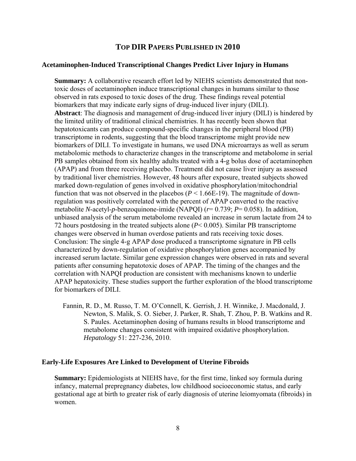# **TOP DIR PAPERS PUBLISHED IN 2010**

## **Acetaminophen-Induced Transcriptional Changes Predict Liver Injury in Humans**

**Summary:** A collaborative research effort led by NIEHS scientists demonstrated that nontoxic doses of acetaminophen induce transcriptional changes in humans similar to those observed in rats exposed to toxic doses of the drug. These findings reveal potential biomarkers that may indicate early signs of drug-induced liver injury (DILI). **Abstract**: The diagnosis and management of drug-induced liver injury (DILI) is hindered by the limited utility of traditional clinical chemistries. It has recently been shown that hepatotoxicants can produce compound-specific changes in the peripheral blood (PB) transcriptome in rodents, suggesting that the blood transcriptome might provide new biomarkers of DILI. To investigate in humans, we used DNA microarrays as well as serum metabolomic methods to characterize changes in the transcriptome and metabolome in serial PB samples obtained from six healthy adults treated with a 4-g bolus dose of acetaminophen (APAP) and from three receiving placebo. Treatment did not cause liver injury as assessed by traditional liver chemistries. However, 48 hours after exposure, treated subjects showed marked down-regulation of genes involved in oxidative phosphorylation/mitochondrial function that was not observed in the placebos  $(P < 1.66E-19)$ . The magnitude of downregulation was positively correlated with the percent of APAP converted to the reactive metabolite *N*-acetyl-*p*-benzoquinone-imide (NAPQI) (*r*= 0.739; *P*= 0.058). In addition, unbiased analysis of the serum metabolome revealed an increase in serum lactate from 24 to 72 hours postdosing in the treated subjects alone (*P*< 0.005). Similar PB transcriptome changes were observed in human overdose patients and rats receiving toxic doses. Conclusion: The single 4-g APAP dose produced a transcriptome signature in PB cells characterized by down-regulation of oxidative phosphorylation genes accompanied by increased serum lactate. Similar gene expression changes were observed in rats and several patients after consuming hepatotoxic doses of APAP. The timing of the changes and the correlation with NAPQI production are consistent with mechanisms known to underlie APAP hepatoxicity. These studies support the further exploration of the blood transcriptome for biomarkers of DILI.

Fannin, R. D., M. Russo, T. M. O'Connell, K. Gerrish, J. H. Winnike, J. Macdonald, J. Newton, S. Malik, S. O. Sieber, J. Parker, R. Shah, T. Zhou, P. B. Watkins and R. S. Paules. Acetaminophen dosing of humans results in blood transcriptome and metabolome changes consistent with impaired oxidative phosphorylation. *Hepatology* 51: 227-236, 2010.

## **Early-Life Exposures Are Linked to Development of Uterine Fibroids**

**Summary:** Epidemiologists at NIEHS have, for the first time, linked soy formula during infancy, maternal prepregnancy diabetes, low childhood socioeconomic status, and early gestational age at birth to greater risk of early diagnosis of uterine leiomyomata (fibroids) in women.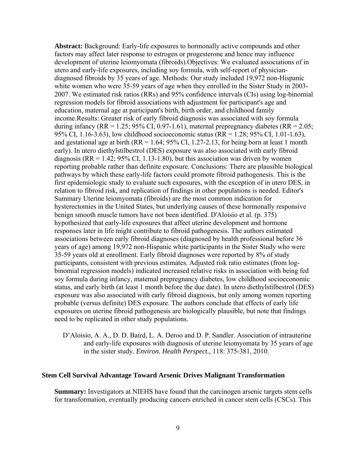**Abstract:** Background: Early-life exposures to hormonally active compounds and other factors may affect later response to estrogen or progesterone and hence may influence development of uterine leiomyomata (fibroids).Objectives: We evaluated associations of in utero and early-life exposures, including soy formula, with self-report of physiciandiagnosed fibroids by 35 years of age. Methods: Our study included 19,972 non-Hispanic white women who were 35-59 years of age when they enrolled in the Sister Study in 2003-2007. We estimated risk ratios (RRs) and 95% confidence intervals (CIs) using log-binomial regression models for fibroid associations with adjustment for participant's age and education, maternal age at participant's birth, birth order, and childhood family income.Results: Greater risk of early fibroid diagnosis was associated with soy formula during infancy (RR = 1.25; 95% CI, 0.97-1.61), maternal prepregnancy diabetes (RR = 2.05; 95% CI, 1.16-3.63), low childhood socioeconomic status (RR = 1.28; 95% CI, 1.01-1.63), and gestational age at birth  $(RR = 1.64; 95\% \text{ CI}, 1.27-2.13$ , for being born at least 1 month early). In utero diethylstilbestrol (DES) exposure was also associated with early fibroid diagnosis ( $RR = 1.42$ ;  $95\%$  CI, 1.13-1.80), but this association was driven by women reporting probable rather than definite exposure. Conclusions: There are plausible biological pathways by which these early-life factors could promote fibroid pathogenesis. This is the first epidemiologic study to evaluate such exposures, with the exception of in utero DES, in relation to fibroid risk, and replication of findings in other populations is needed. Editor's Summary Uterine leiomyomata (fibroids) are the most common indication for hysterectomies in the United States, but underlying causes of these hormonally responsive benign smooth muscle tumors have not been identified. D'Aloisio et al. (p. 375) hypothesized that early-life exposures that affect uterine development and hormone responses later in life might contribute to fibroid pathogenesis. The authors estimated associations between early fibroid diagnoses (diagnosed by health professional before 36 years of age) among 19,972 non-Hispanic white participants in the Sister Study who were 35-59 years old at enrollment. Early fibroid diagnoses were reported by 8% of study participants, consistent with previous estimates. Adjusted risk ratio estimates (from logbinomial regression models) indicated increased relative risks in association with being fed soy formula during infancy, maternal prepregnancy diabetes, low childhood socioeconomic status, and early birth (at least 1 month before the due date). In utero diethylstilbestrol (DES) exposure was also associated with early fibroid diagnosis, but only among women reporting probable (versus definite) DES exposure. The authors conclude that effects of early life exposures on uterine fibroid pathogenesis are biologically plausible, but note that findings need to be replicated in other study populations.

D'Aloisio, A. A., D. D. Baird, L. A. Deroo and D. P. Sandler. Association of intrauterine and early-life exposures with diagnosis of uterine leiomyomata by 35 years of age in the sister study. *Environ. Health Perspect.,* 118: 375-381, 2010.

## **Stem Cell Survival Advantage Toward Arsenic Drives Malignant Transformation**

**Summary:** Investigators at NIEHS have found that the carcinogen arsenic targets stem cells for transformation, eventually producing cancers enriched in cancer stem cells (CSCs). This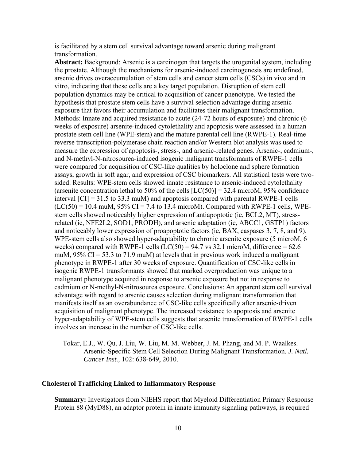is facilitated by a stem cell survival advantage toward arsenic during malignant transformation.

**Abstract:** Background: Arsenic is a carcinogen that targets the urogenital system, including the prostate. Although the mechanisms for arsenic-induced carcinogenesis are undefined, arsenic drives overaccumulation of stem cells and cancer stem cells (CSCs) in vivo and in vitro, indicating that these cells are a key target population. Disruption of stem cell population dynamics may be critical to acquisition of cancer phenotype. We tested the hypothesis that prostate stem cells have a survival selection advantage during arsenic exposure that favors their accumulation and facilitates their malignant transformation. Methods: Innate and acquired resistance to acute (24-72 hours of exposure) and chronic (6 weeks of exposure) arsenite-induced cytolethality and apoptosis were assessed in a human prostate stem cell line (WPE-stem) and the mature parental cell line (RWPE-1). Real-time reverse transcription-polymerase chain reaction and/or Western blot analysis was used to measure the expression of apoptosis-, stress-, and arsenic-related genes. Arsenic-, cadmium-, and N-methyl-N-nitrosourea-induced isogenic malignant transformants of RWPE-1 cells were compared for acquisition of CSC-like qualities by holoclone and sphere formation assays, growth in soft agar, and expression of CSC biomarkers. All statistical tests were twosided. Results: WPE-stem cells showed innate resistance to arsenic-induced cytolethality (arsenite concentration lethal to 50% of the cells  $[LC(50)] = 32.4$  microM, 95% confidence interval [CI] = 31.5 to 33.3 muM) and apoptosis compared with parental RWPE-1 cells  $(LC(50) = 10.4$  muM, 95% CI = 7.4 to 13.4 microM). Compared with RWPE-1 cells, WPEstem cells showed noticeably higher expression of antiapoptotic (ie, BCL2, MT), stressrelated (ie, NFE2L2, SOD1, PRODH), and arsenic adaptation (ie, ABCC1, GSTP1) factors and noticeably lower expression of proapoptotic factors (ie, BAX, caspases 3, 7, 8, and 9). WPE-stem cells also showed hyper-adaptability to chronic arsenite exposure (5 microM, 6 weeks) compared with RWPE-1 cells  $(LC(50) = 94.7 \text{ vs } 32.1 \text{ microM},$  difference = 62.6 muM,  $95\%$  CI = 53.3 to 71.9 muM) at levels that in previous work induced a malignant phenotype in RWPE-1 after 30 weeks of exposure. Quantification of CSC-like cells in isogenic RWPE-1 transformants showed that marked overproduction was unique to a malignant phenotype acquired in response to arsenic exposure but not in response to cadmium or N-methyl-N-nitrosourea exposure. Conclusions: An apparent stem cell survival advantage with regard to arsenic causes selection during malignant transformation that manifests itself as an overabundance of CSC-like cells specifically after arsenic-driven acquisition of malignant phenotype. The increased resistance to apoptosis and arsenite hyper-adaptability of WPE-stem cells suggests that arsenite transformation of RWPE-1 cells involves an increase in the number of CSC-like cells.

Tokar, E.J., W. Qu, J. Liu, W. Liu, M. M. Webber, J. M. Phang, and M. P. Waalkes. Arsenic-Specific Stem Cell Selection During Malignant Transformation. *J. Natl. Cancer Inst.,* 102: 638-649, 2010.

## **Cholesterol Trafficking Linked to Inflammatory Response**

**Summary:** Investigators from NIEHS report that Myeloid Differentiation Primary Response Protein 88 (MyD88), an adaptor protein in innate immunity signaling pathways, is required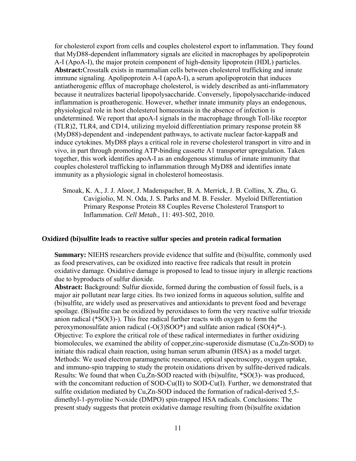for cholesterol export from cells and couples cholesterol export to inflammation. They found that MyD88-dependent inflammatory signals are elicited in macrophages by apolipoprotein A-I (ApoA-I), the major protein component of high-density lipoprotein (HDL) particles. **Abstract:**Crosstalk exists in mammalian cells between cholesterol trafficking and innate immune signaling. Apolipoprotein A-I (apoA-I), a serum apolipoprotein that induces antiatherogenic efflux of macrophage cholesterol, is widely described as anti-inflammatory because it neutralizes bacterial lipopolysaccharide. Conversely, lipopolysaccharide-induced inflammation is proatherogenic. However, whether innate immunity plays an endogenous, physiological role in host cholesterol homeostasis in the absence of infection is undetermined. We report that apoA-I signals in the macrophage through Toll-like receptor (TLR)2, TLR4, and CD14, utilizing myeloid differentiation primary response protein 88 (MyD88)-dependent and -independent pathways, to activate nuclear factor-kappaB and induce cytokines. MyD88 plays a critical role in reverse cholesterol transport in vitro and in vivo, in part through promoting ATP-binding cassette A1 transporter upregulation. Taken together, this work identifies apoA-I as an endogenous stimulus of innate immunity that couples cholesterol trafficking to inflammation through MyD88 and identifies innate immunity as a physiologic signal in cholesterol homeostasis.

Smoak, K. A., J. J. Aloor, J. Madenspacher, B. A. Merrick, J. B. Collins, X. Zhu, G. Cavigiolio, M. N. Oda, J. S. Parks and M. B. Fessler. Myeloid Differentiation Primary Response Protein 88 Couples Reverse Cholesterol Transport to Inflammation. *Cell Metab.,* 11: 493-502, 2010.

## **Oxidized (bi)sulfite leads to reactive sulfur species and protein radical formation**

**Summary:** NIEHS researchers provide evidence that sulfite and (bi)sulfite, commonly used as food preservatives, can be oxidized into reactive free radicals that result in protein oxidative damage. Oxidative damage is proposed to lead to tissue injury in allergic reactions due to byproducts of sulfur dioxide.

**Abstract:** Background: Sulfur dioxide, formed during the combustion of fossil fuels, is a major air pollutant near large cities. Its two ionized forms in aqueous solution, sulfite and (bi)sulfite, are widely used as preservatives and antioxidants to prevent food and beverage spoilage. (Bi)sulfite can be oxidized by peroxidases to form the very reactive sulfur trioxide anion radical (\*SO(3)-). This free radical further reacts with oxygen to form the peroxymonosulfate anion radical (-O(3)SOO\*) and sulfate anion radical (SO(4)\*-). Objective: To explore the critical role of these radical intermediates in further oxidizing biomolecules, we examined the ability of copper,zinc-superoxide dismutase (Cu,Zn-SOD) to initiate this radical chain reaction, using human serum albumin (HSA) as a model target. Methods: We used electron paramagnetic resonance, optical spectroscopy, oxygen uptake, and immuno-spin trapping to study the protein oxidations driven by sulfite-derived radicals. Results: We found that when Cu,Zn-SOD reacted with (bi)sulfite, \*SO(3)- was produced, with the concomitant reduction of SOD-Cu(II) to SOD-Cu(I). Further, we demonstrated that sulfite oxidation mediated by Cu,Zn-SOD induced the formation of radical-derived 5,5 dimethyl-1-pyrroline N-oxide (DMPO) spin-trapped HSA radicals. Conclusions: The present study suggests that protein oxidative damage resulting from (bi)sulfite oxidation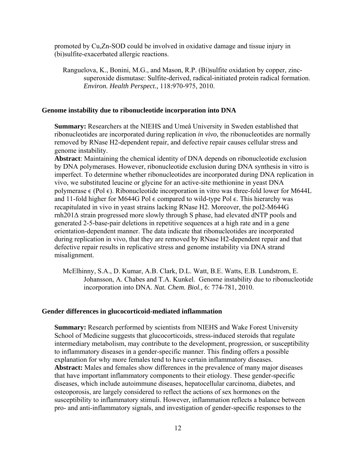promoted by Cu,Zn-SOD could be involved in oxidative damage and tissue injury in (bi)sulfite-exacerbated allergic reactions.

Ranguelova, K., Bonini, M.G., and Mason, R.P. (Bi)sulfite oxidation by copper, zincsuperoxide dismutase: Sulfite-derived, radical-initiated protein radical formation. *Environ. Health Perspect.,* 118:970-975, 2010.

## **Genome instability due to ribonucleotide incorporation into DNA**

**Summary:** Researchers at the NIEHS and Umeå University in Sweden established that ribonucleotides are incorporated during replication *in vivo,* the ribonucleotides are normally removed by RNase H2-dependent repair, and defective repair causes cellular stress and genome instability.

**Abstract**: Maintaining the chemical identity of DNA depends on ribonucleotide exclusion by DNA polymerases. However, ribonucleotide exclusion during DNA synthesis in vitro is imperfect. To determine whether ribonucleotides are incorporated during DNA replication in vivo, we substituted leucine or glycine for an active-site methionine in yeast DNA polymerase  $\epsilon$  (Pol  $\epsilon$ ). Ribonucleotide incorporation in vitro was three-fold lower for M644L and 11-fold higher for M644G Pol  $\epsilon$  compared to wild-type Pol  $\epsilon$ . This hierarchy was recapitulated in vivo in yeast strains lacking RNase H2. Moreover, the pol2-M644G rnh201Δ strain progressed more slowly through S phase, had elevated dNTP pools and generated 2-5-base-pair deletions in repetitive sequences at a high rate and in a gene orientation-dependent manner. The data indicate that ribonucleotides are incorporated during replication in vivo, that they are removed by RNase H2-dependent repair and that defective repair results in replicative stress and genome instability via DNA strand misalignment.

McElhinny, S.A., D. Kumar, A.B. Clark, D.L. Watt, B.E. Watts, E.B. Lundstrom, E. Johansson, A. Chabes and T.A. Kunkel. Genome instability due to ribonucleotide incorporation into DNA. *Nat. Chem. Biol.,* 6: 774-781, 2010.

## **Gender differences in glucocorticoid-mediated inflammation**

**Summary:** Research performed by scientists from NIEHS and Wake Forest University School of Medicine suggests that glucocorticoids, stress-induced steroids that regulate intermediary metabolism, may contribute to the development, progression, or susceptibility to inflammatory diseases in a gender-specific manner. This finding offers a possible explanation for why more females tend to have certain inflammatory diseases. **Abstract:** Males and females show differences in the prevalence of many major diseases that have important inflammatory components to their etiology. These gender-specific diseases, which include autoimmune diseases, hepatocellular carcinoma, diabetes, and osteoporosis, are largely considered to reflect the actions of sex hormones on the susceptibility to inflammatory stimuli. However, inflammation reflects a balance between pro- and anti-inflammatory signals, and investigation of gender-specific responses to the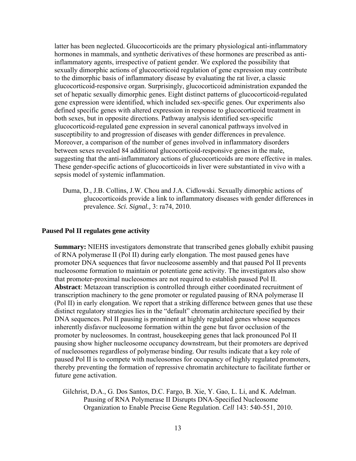latter has been neglected. Glucocorticoids are the primary physiological anti-inflammatory hormones in mammals, and synthetic derivatives of these hormones are prescribed as antiinflammatory agents, irrespective of patient gender. We explored the possibility that sexually dimorphic actions of glucocorticoid regulation of gene expression may contribute to the dimorphic basis of inflammatory disease by evaluating the rat liver, a classic glucocorticoid-responsive organ. Surprisingly, glucocorticoid administration expanded the set of hepatic sexually dimorphic genes. Eight distinct patterns of glucocorticoid-regulated gene expression were identified, which included sex-specific genes. Our experiments also defined specific genes with altered expression in response to glucocorticoid treatment in both sexes, but in opposite directions. Pathway analysis identified sex-specific glucocorticoid-regulated gene expression in several canonical pathways involved in susceptibility to and progression of diseases with gender differences in prevalence. Moreover, a comparison of the number of genes involved in inflammatory disorders between sexes revealed 84 additional glucocorticoid-responsive genes in the male, suggesting that the anti-inflammatory actions of glucocorticoids are more effective in males. These gender-specific actions of glucocorticoids in liver were substantiated in vivo with a sepsis model of systemic inflammation.

Duma, D., J.B. Collins, J.W. Chou and J.A. Cidlowski. Sexually dimorphic actions of glucocorticoids provide a link to inflammatory diseases with gender differences in prevalence. *Sci. Signal.,* 3: ra74, 2010.

## **Paused Pol II regulates gene activity**

**Summary:** NIEHS investigators demonstrate that transcribed genes globally exhibit pausing of RNA polymerase II (Pol II) during early elongation. The most paused genes have promoter DNA sequences that favor nucleosome assembly and that paused Pol II prevents nucleosome formation to maintain or potentiate gene activity. The investigators also show that promoter-proximal nucleosomes are not required to establish paused Pol II. **Abstract**: Metazoan transcription is controlled through either coordinated recruitment of transcription machinery to the gene promoter or regulated pausing of RNA polymerase II (Pol II) in early elongation. We report that a striking difference between genes that use these distinct regulatory strategies lies in the "default" chromatin architecture specified by their DNA sequences. Pol II pausing is prominent at highly regulated genes whose sequences inherently disfavor nucleosome formation within the gene but favor occlusion of the promoter by nucleosomes. In contrast, housekeeping genes that lack pronounced Pol II pausing show higher nucleosome occupancy downstream, but their promoters are deprived of nucleosomes regardless of polymerase binding. Our results indicate that a key role of paused Pol II is to compete with nucleosomes for occupancy of highly regulated promoters, thereby preventing the formation of repressive chromatin architecture to facilitate further or future gene activation.

Gilchrist, D.A., G. Dos Santos, D.C. Fargo, B. Xie, Y. Gao, L. Li, and K. Adelman. Pausing of RNA Polymerase II Disrupts DNA-Specified Nucleosome Organization to Enable Precise Gene Regulation. *Cell* 143: 540-551, 2010.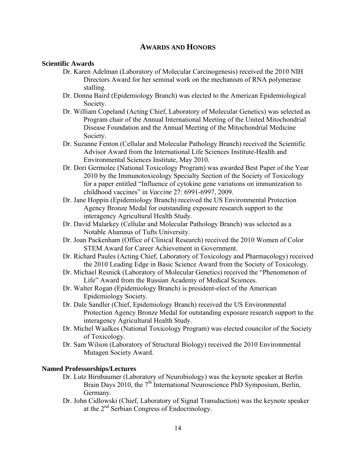# **AWARDS AND HONORS**

# **Scientific Awards**

- Dr. Karen Adelman (Laboratory of Molecular Carcinogenesis) received the 2010 NIH Directors Award for her seminal work on the mechanism of RNA polymerase stalling.
- Dr. Donna Baird (Epidemiology Branch) was elected to the American Epidemiological Society.
- Dr. William Copeland (Acting Chief, Laboratory of Molecular Genetics) was selected as Program chair of the Annual International Meeting of the United Mitochondrial Disease Foundation and the Annual Meeting of the Mitochondrial Medicine Society.
- Dr. Suzanne Fenton (Cellular and Molecular Pathology Branch) received the Scientific Advisor Award from the International Life Sciences Institute-Health and Environmental Sciences Institute, May 2010.
- childhood vaccines" in Vaccine 27: 6991-6997, 2009. Dr. Dori Germolec (National Toxicology Program) was awarded Best Paper of the Year 2010 by the Immunotoxicology Specialty Section of the Society of Toxicology for a paper entitled "Influence of cytokine gene variations on immunization to
- Dr. Jane Hoppin *(Epidemiology Branch)* received the US Environmental Protection Agency Bronze Medal for outstanding exposure research support to the interagency Agricultural Health Study.
- Dr. David Malarkey (Cellular and Molecular Pathology Branch) was selected as a Notable Alumnus of Tufts University.
- Dr. Joan Packenham (Office of Clinical Research) received the 2010 Women of Color STEM Award for Career Achievement in Government.
- Dr. Richard Paules (Acting Chief, Laboratory of Toxicology and Pharmacology) received the 2010 Leading Edge in Basic Science Award from the Society of Toxicology.
- Dr. Michael Resnick (Laboratory of Molecular Genetics) received the "Phenomenon of Life" Award from the Russian Academy of Medical Sciences.
- Dr. Walter Rogan (Epidemiology Branch) is president-elect of the American Epidemiology Society.
- Dr. Dale Sandler (Chief, Epidemiology Branch) received the US Environmental Protection Agency Bronze Medal for outstanding exposure research support to the interagency Agricultural Health Study.
- Dr. Michel Waalkes (National Toxicology Program) was elected councilor of the Society of Toxicology.
- Dr. Sam Wilson (Laboratory of Structural Biology) received the 2010 Environmental Mutagen Society Award.

## **Named Professorships/Lectures**

- Dr. Lutz Birnbaumer (Laboratory of Neurobiology) was the keynote speaker at Berlin Brain Days 2010, the  $7<sup>th</sup>$  International Neuroscience PhD Symposium, Berlin, Germany.
- Dr. John Cidlowski (Chief, Laboratory of Signal Transduction) was the keynote speaker at the 2nd Serbian Congress of Endocrinology.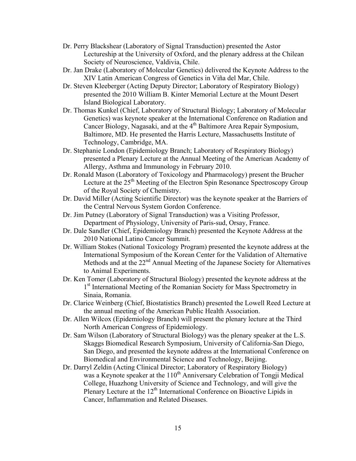- Dr. Perry Blackshear (Laboratory of Signal Transduction) presented the Astor Lectureship at the University of Oxford, and the plenary address at the Chilean Society of Neuroscience, Valdivia, Chile.
- Dr. Jan Drake (Laboratory of Molecular Genetics) delivered the Keynote Address to the XIV Latin American Congress of Genetics in Viña del Mar, Chile.
- Dr. Steven Kleeberger (Acting Deputy Director; Laboratory of Respiratory Biology) presented the 2010 William B. Kinter Memorial Lecture at the Mount Desert Island Biological Laboratory.
- Dr. Thomas Kunkel (Chief, Laboratory of Structural Biology; Laboratory of Molecular Genetics) was keynote speaker at the International Conference on Radiation and Cancer Biology, Nagasaki, and at the  $4<sup>th</sup>$  Baltimore Area Repair Symposium, Baltimore, MD. He presented the Harris Lecture, Massachusetts Institute of Technology, Cambridge, MA.
- Dr. Stephanie London (Epidemiology Branch; Laboratory of Respiratory Biology) presented a Plenary Lecture at the Annual Meeting of the American Academy of Allergy, Asthma and Immunology in February 2010.
- Dr. Ronald Mason (Laboratory of Toxicology and Pharmacology) present the Brucher Lecture at the 25<sup>th</sup> Meeting of the Electron Spin Resonance Spectroscopy Group of the Royal Society of Chemistry.
- Dr. David Miller (Acting Scientific Director) was the keynote speaker at the Barriers of the Central Nervous System Gordon Conference.
- Dr. Jim Putney (Laboratory of Signal Transduction) was a Visiting Professor, Department of Physiology, University of Paris-sud, Orsay, France.
- Dr. Dale Sandler (Chief, Epidemiology Branch) presented the Keynote Address at the 2010 National Latino Cancer Summit.
- Dr. William Stokes (National Toxicology Program) presented the keynote address at the International Symposium of the Korean Center for the Validation of Alternative Methods and at the 22<sup>nd</sup> Annual Meeting of the Japanese Society for Alternatives to Animal Experiments.
- Dr. Ken Tomer (Laboratory of Structural Biology) presented the keynote address at the 1<sup>st</sup> International Meeting of the Romanian Society for Mass Spectrometry in Sinaia, Romania.
- Dr. Clarice Weinberg (Chief, Biostatistics Branch) presented the Lowell Reed Lecture at the annual meeting of the American Public Health Association.
- Dr. Allen Wilcox (Epidemiology Branch) will present the plenary lecture at the Third North American Congress of Epidemiology.
- Dr. Sam Wilson (Laboratory of Structural Biology) was the plenary speaker at the L.S. Skaggs Biomedical Research Symposium, University of California-San Diego, San Diego, and presented the keynote address at the International Conference on Biomedical and Environmental Science and Technology, Beijing.
- Dr. Darryl Zeldin (Acting Clinical Director; Laboratory of Respiratory Biology) was a Keynote speaker at the  $110<sup>th</sup>$  Anniversary Celebration of Tongji Medical College, Huazhong University of Science and Technology, and will give the Plenary Lecture at the  $12<sup>th</sup>$  International Conference on Bioactive Lipids in Cancer, Inflammation and Related Diseases.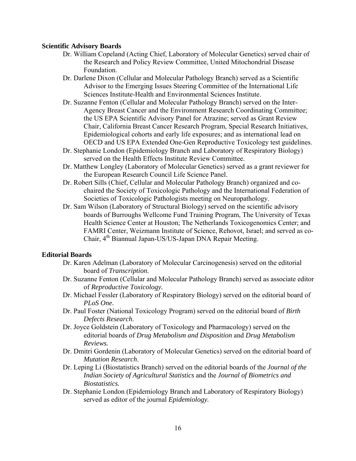# **Scientific Advisory Boards**

- Dr. William Copeland (Acting Chief, Laboratory of Molecular Genetics) served chair of the Research and Policy Review Committee, United Mitochondrial Disease Foundation.
- Dr. Darlene Dixon (Cellular and Molecular Pathology Branch) served as a Scientific Advisor to the Emerging Issues Steering Committee of the International Life Sciences Institute-Health and Environmental Sciences Institute.
- Dr. Suzanne Fenton (Cellular and Molecular Pathology Branch) served on the Inter-Agency Breast Cancer and the Environment Research Coordinating Committee; the US EPA Scientific Advisory Panel for Atrazine; served as Grant Review Chair, California Breast Cancer Research Program, Special Research Initiatives, Epidemiological cohorts and early life exposures; and as international lead on OECD and US EPA Extended One-Gen Reproductive Toxicology test guidelines.
- Dr. Stephanie London (Epidemiology Branch and Laboratory of Respiratory Biology) served on the Health Effects Institute Review Committee.
- Dr. Matthew Longley (Laboratory of Molecular Genetics) served as a grant reviewer for the European Research Council Life Science Panel.
- Dr. Robert Sills (Chief, Cellular and Molecular Pathology Branch) organized and cochaired the Society of Toxicologic Pathology and the International Federation of Societies of Toxicologic Pathologists meeting on Neuropathology.
- Dr. Sam Wilson (Laboratory of Structural Biology) served on the scientific advisory boards of Burroughs Wellcome Fund Training Program, The University of Texas Health Science Center at Houston; The Netherlands Toxicogenomics Center; and FAMRI Center, Weizmann Institute of Science, Rehovot, Israel; and served as co-Chair, 4th Biannual Japan-US/US-Japan DNA Repair Meeting.

# **Editorial Boards**

- Dr. Karen Adelman (Laboratory of Molecular Carcinogenesis) served on the editorial board of *Transcription.*
- Dr. Suzanne Fenton (Cellular and Molecular Pathology Branch) served as associate editor of *Reproductive Toxicology.*
- Dr. Michael Fessler (Laboratory of Respiratory Biology) served on the editorial board of *PLoS One.*
- Dr. Paul Foster (National Toxicology Program) served on the editorial board of *Birth Defects Research*.
- Dr. Joyce Goldstein (Laboratory of Toxicology and Pharmacology) served on the editorial boards of *Drug Metabolism and Disposition* and *Drug Metabolism Reviews.*
- Dr. Dmitri Gordenin (Laboratory of Molecular Genetics) served on the editorial board of *Mutation Research*.
- Dr. Leping Li (Biostatistics Branch) served on the editorial boards of the *Journal of the Indian Society of Agricultural Statistics* and the *Journal of Biometrics and Biostatistics.*
- Dr. Stephanie London (Epidemiology Branch and Laboratory of Respiratory Biology) served as editor of the journal *Epidemiology.*